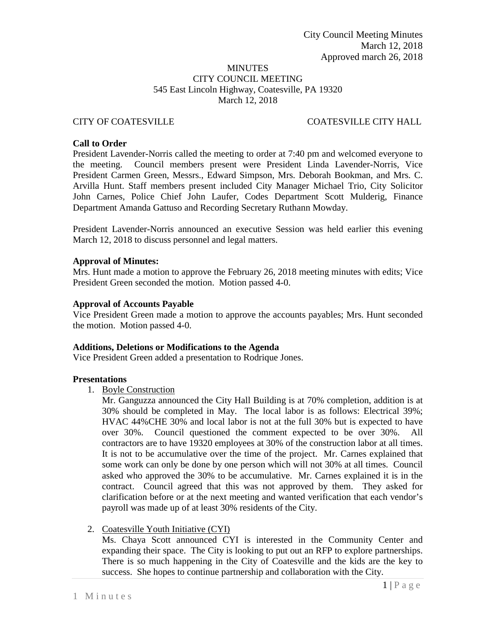# **MINUTES** CITY COUNCIL MEETING 545 East Lincoln Highway, Coatesville, PA 19320 March 12, 2018

# CITY OF COATESVILLE COATESVILLE CITY HALL

## **Call to Order**

President Lavender-Norris called the meeting to order at 7:40 pm and welcomed everyone to the meeting. Council members present were President Linda Lavender-Norris, Vice President Carmen Green, Messrs., Edward Simpson, Mrs. Deborah Bookman, and Mrs. C. Arvilla Hunt. Staff members present included City Manager Michael Trio, City Solicitor John Carnes, Police Chief John Laufer, Codes Department Scott Mulderig, Finance Department Amanda Gattuso and Recording Secretary Ruthann Mowday.

President Lavender-Norris announced an executive Session was held earlier this evening March 12, 2018 to discuss personnel and legal matters.

## **Approval of Minutes:**

Mrs. Hunt made a motion to approve the February 26, 2018 meeting minutes with edits; Vice President Green seconded the motion. Motion passed 4-0.

## **Approval of Accounts Payable**

Vice President Green made a motion to approve the accounts payables; Mrs. Hunt seconded the motion. Motion passed 4-0.

## **Additions, Deletions or Modifications to the Agenda**

Vice President Green added a presentation to Rodrique Jones.

# **Presentations**

1. Boyle Construction

Mr. Ganguzza announced the City Hall Building is at 70% completion, addition is at 30% should be completed in May. The local labor is as follows: Electrical 39%; HVAC 44%CHE 30% and local labor is not at the full 30% but is expected to have over 30%. Council questioned the comment expected to be over 30%. All contractors are to have 19320 employees at 30% of the construction labor at all times. It is not to be accumulative over the time of the project. Mr. Carnes explained that some work can only be done by one person which will not 30% at all times. Council asked who approved the 30% to be accumulative. Mr. Carnes explained it is in the contract. Council agreed that this was not approved by them. They asked for clarification before or at the next meeting and wanted verification that each vendor's payroll was made up of at least 30% residents of the City.

# 2. Coatesville Youth Initiative (CYI)

Ms. Chaya Scott announced CYI is interested in the Community Center and expanding their space. The City is looking to put out an RFP to explore partnerships. There is so much happening in the City of Coatesville and the kids are the key to success. She hopes to continue partnership and collaboration with the City.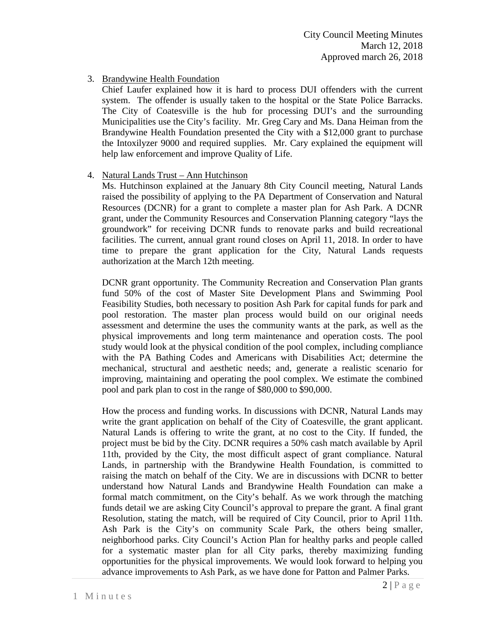# 3. Brandywine Health Foundation

Chief Laufer explained how it is hard to process DUI offenders with the current system. The offender is usually taken to the hospital or the State Police Barracks. The City of Coatesville is the hub for processing DUI's and the surrounding Municipalities use the City's facility. Mr. Greg Cary and Ms. Dana Heiman from the Brandywine Health Foundation presented the City with a \$12,000 grant to purchase the Intoxilyzer 9000 and required supplies. Mr. Cary explained the equipment will help law enforcement and improve Quality of Life.

## 4. Natural Lands Trust – Ann Hutchinson

Ms. Hutchinson explained at the January 8th City Council meeting, Natural Lands raised the possibility of applying to the PA Department of Conservation and Natural Resources (DCNR) for a grant to complete a master plan for Ash Park. A DCNR grant, under the Community Resources and Conservation Planning category "lays the groundwork" for receiving DCNR funds to renovate parks and build recreational facilities. The current, annual grant round closes on April 11, 2018. In order to have time to prepare the grant application for the City, Natural Lands requests authorization at the March 12th meeting.

DCNR grant opportunity. The Community Recreation and Conservation Plan grants fund 50% of the cost of Master Site Development Plans and Swimming Pool Feasibility Studies, both necessary to position Ash Park for capital funds for park and pool restoration. The master plan process would build on our original needs assessment and determine the uses the community wants at the park, as well as the physical improvements and long term maintenance and operation costs. The pool study would look at the physical condition of the pool complex, including compliance with the PA Bathing Codes and Americans with Disabilities Act; determine the mechanical, structural and aesthetic needs; and, generate a realistic scenario for improving, maintaining and operating the pool complex. We estimate the combined pool and park plan to cost in the range of \$80,000 to \$90,000.

How the process and funding works. In discussions with DCNR, Natural Lands may write the grant application on behalf of the City of Coatesville, the grant applicant. Natural Lands is offering to write the grant, at no cost to the City. If funded, the project must be bid by the City. DCNR requires a 50% cash match available by April 11th, provided by the City, the most difficult aspect of grant compliance. Natural Lands, in partnership with the Brandywine Health Foundation, is committed to raising the match on behalf of the City. We are in discussions with DCNR to better understand how Natural Lands and Brandywine Health Foundation can make a formal match commitment, on the City's behalf. As we work through the matching funds detail we are asking City Council's approval to prepare the grant. A final grant Resolution, stating the match, will be required of City Council, prior to April 11th. Ash Park is the City's on community Scale Park, the others being smaller, neighborhood parks. City Council's Action Plan for healthy parks and people called for a systematic master plan for all City parks, thereby maximizing funding opportunities for the physical improvements. We would look forward to helping you advance improvements to Ash Park, as we have done for Patton and Palmer Parks.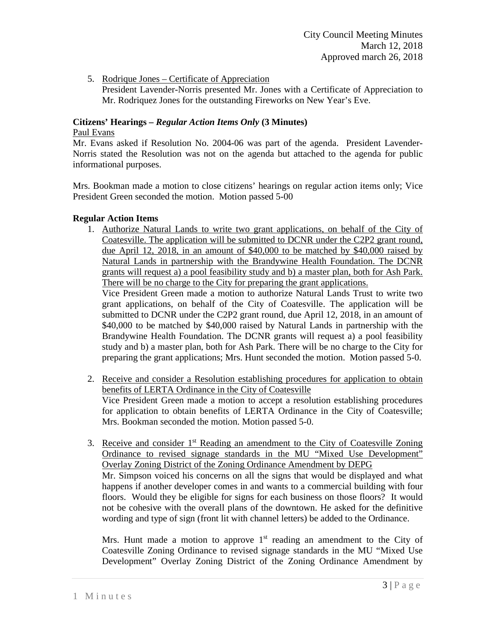5. Rodrique Jones – Certificate of Appreciation President Lavender-Norris presented Mr. Jones with a Certificate of Appreciation to Mr. Rodriquez Jones for the outstanding Fireworks on New Year's Eve.

### **Citizens' Hearings –** *Regular Action Items Only* **(3 Minutes)** Paul Evans

Mr. Evans asked if Resolution No. 2004-06 was part of the agenda. President Lavender-Norris stated the Resolution was not on the agenda but attached to the agenda for public informational purposes.

Mrs. Bookman made a motion to close citizens' hearings on regular action items only; Vice President Green seconded the motion. Motion passed 5-00

# **Regular Action Items**

1. Authorize Natural Lands to write two grant applications, on behalf of the City of Coatesville. The application will be submitted to DCNR under the C2P2 grant round, due April 12, 2018, in an amount of \$40,000 to be matched by \$40,000 raised by Natural Lands in partnership with the Brandywine Health Foundation. The DCNR grants will request a) a pool feasibility study and b) a master plan, both for Ash Park. There will be no charge to the City for preparing the grant applications.

Vice President Green made a motion to authorize Natural Lands Trust to write two grant applications, on behalf of the City of Coatesville. The application will be submitted to DCNR under the C2P2 grant round, due April 12, 2018, in an amount of \$40,000 to be matched by \$40,000 raised by Natural Lands in partnership with the Brandywine Health Foundation. The DCNR grants will request a) a pool feasibility study and b) a master plan, both for Ash Park. There will be no charge to the City for preparing the grant applications; Mrs. Hunt seconded the motion. Motion passed 5-0.

- 2. Receive and consider a Resolution establishing procedures for application to obtain benefits of LERTA Ordinance in the City of Coatesville Vice President Green made a motion to accept a resolution establishing procedures for application to obtain benefits of LERTA Ordinance in the City of Coatesville; Mrs. Bookman seconded the motion. Motion passed 5-0.
- 3. Receive and consider  $1<sup>st</sup>$  Reading an amendment to the City of Coatesville Zoning Ordinance to revised signage standards in the MU "Mixed Use Development" Overlay Zoning District of the Zoning Ordinance Amendment by DEPG Mr. Simpson voiced his concerns on all the signs that would be displayed and what happens if another developer comes in and wants to a commercial building with four floors. Would they be eligible for signs for each business on those floors? It would not be cohesive with the overall plans of the downtown. He asked for the definitive wording and type of sign (front lit with channel letters) be added to the Ordinance.

Mrs. Hunt made a motion to approve  $1<sup>st</sup>$  reading an amendment to the City of Coatesville Zoning Ordinance to revised signage standards in the MU "Mixed Use Development" Overlay Zoning District of the Zoning Ordinance Amendment by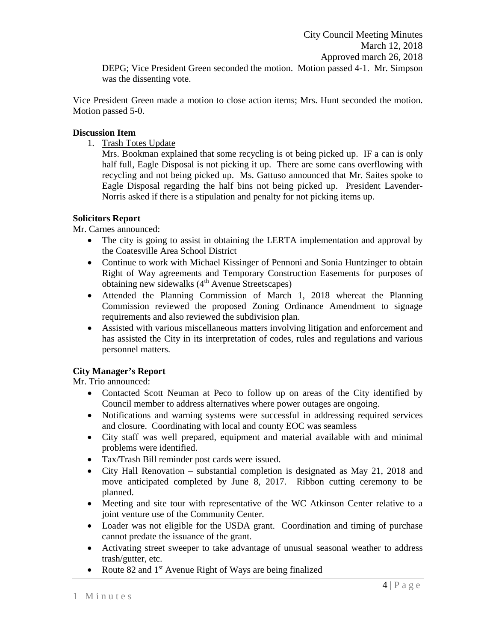DEPG; Vice President Green seconded the motion. Motion passed 4-1. Mr. Simpson was the dissenting vote.

Vice President Green made a motion to close action items; Mrs. Hunt seconded the motion. Motion passed 5-0.

# **Discussion Item**

1. Trash Totes Update

Mrs. Bookman explained that some recycling is ot being picked up. IF a can is only half full, Eagle Disposal is not picking it up. There are some cans overflowing with recycling and not being picked up. Ms. Gattuso announced that Mr. Saites spoke to Eagle Disposal regarding the half bins not being picked up. President Lavender-Norris asked if there is a stipulation and penalty for not picking items up.

# **Solicitors Report**

Mr. Carnes announced:

- The city is going to assist in obtaining the LERTA implementation and approval by the Coatesville Area School District
- Continue to work with Michael Kissinger of Pennoni and Sonia Huntzinger to obtain Right of Way agreements and Temporary Construction Easements for purposes of obtaining new sidewalks (4<sup>th</sup> Avenue Streetscapes)
- Attended the Planning Commission of March 1, 2018 whereat the Planning Commission reviewed the proposed Zoning Ordinance Amendment to signage requirements and also reviewed the subdivision plan.
- Assisted with various miscellaneous matters involving litigation and enforcement and has assisted the City in its interpretation of codes, rules and regulations and various personnel matters.

# **City Manager's Report**

Mr. Trio announced:

- Contacted Scott Neuman at Peco to follow up on areas of the City identified by Council member to address alternatives where power outages are ongoing.
- Notifications and warning systems were successful in addressing required services and closure. Coordinating with local and county EOC was seamless
- City staff was well prepared, equipment and material available with and minimal problems were identified.
- Tax/Trash Bill reminder post cards were issued.
- City Hall Renovation substantial completion is designated as May 21, 2018 and move anticipated completed by June 8, 2017. Ribbon cutting ceremony to be planned.
- Meeting and site tour with representative of the WC Atkinson Center relative to a joint venture use of the Community Center.
- Loader was not eligible for the USDA grant. Coordination and timing of purchase cannot predate the issuance of the grant.
- Activating street sweeper to take advantage of unusual seasonal weather to address trash/gutter, etc.
- Route 82 and  $1<sup>st</sup>$  Avenue Right of Ways are being finalized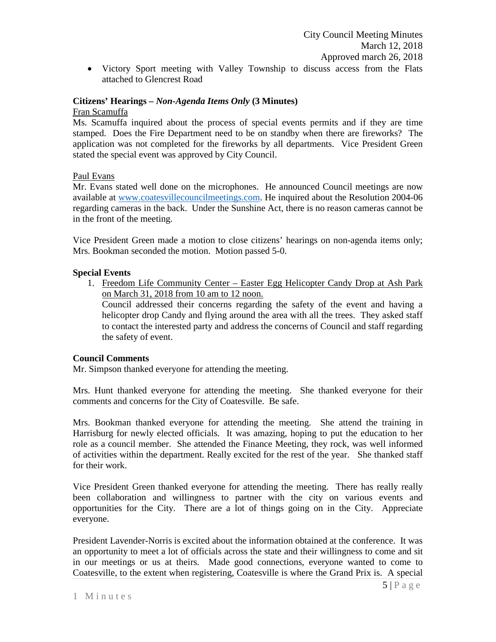• Victory Sport meeting with Valley Township to discuss access from the Flats attached to Glencrest Road

# **Citizens' Hearings –** *Non-Agenda Items Only* **(3 Minutes)**

Fran Scamuffa

Ms. Scamuffa inquired about the process of special events permits and if they are time stamped. Does the Fire Department need to be on standby when there are fireworks? The application was not completed for the fireworks by all departments. Vice President Green stated the special event was approved by City Council.

## Paul Evans

Mr. Evans stated well done on the microphones. He announced Council meetings are now available at [www.coatesvillecouncilmeetings.com.](http://www.coatesvillecouncilmeetings.com/) He inquired about the Resolution 2004-06 regarding cameras in the back. Under the Sunshine Act, there is no reason cameras cannot be in the front of the meeting.

Vice President Green made a motion to close citizens' hearings on non-agenda items only; Mrs. Bookman seconded the motion. Motion passed 5-0.

## **Special Events**

1. Freedom Life Community Center – Easter Egg Helicopter Candy Drop at Ash Park on March 31, 2018 from 10 am to 12 noon.

Council addressed their concerns regarding the safety of the event and having a helicopter drop Candy and flying around the area with all the trees. They asked staff to contact the interested party and address the concerns of Council and staff regarding the safety of event.

## **Council Comments**

Mr. Simpson thanked everyone for attending the meeting.

Mrs. Hunt thanked everyone for attending the meeting. She thanked everyone for their comments and concerns for the City of Coatesville. Be safe.

Mrs. Bookman thanked everyone for attending the meeting. She attend the training in Harrisburg for newly elected officials. It was amazing, hoping to put the education to her role as a council member. She attended the Finance Meeting, they rock, was well informed of activities within the department. Really excited for the rest of the year. She thanked staff for their work.

Vice President Green thanked everyone for attending the meeting. There has really really been collaboration and willingness to partner with the city on various events and opportunities for the City. There are a lot of things going on in the City. Appreciate everyone.

President Lavender-Norris is excited about the information obtained at the conference. It was an opportunity to meet a lot of officials across the state and their willingness to come and sit in our meetings or us at theirs. Made good connections, everyone wanted to come to Coatesville, to the extent when registering, Coatesville is where the Grand Prix is. A special